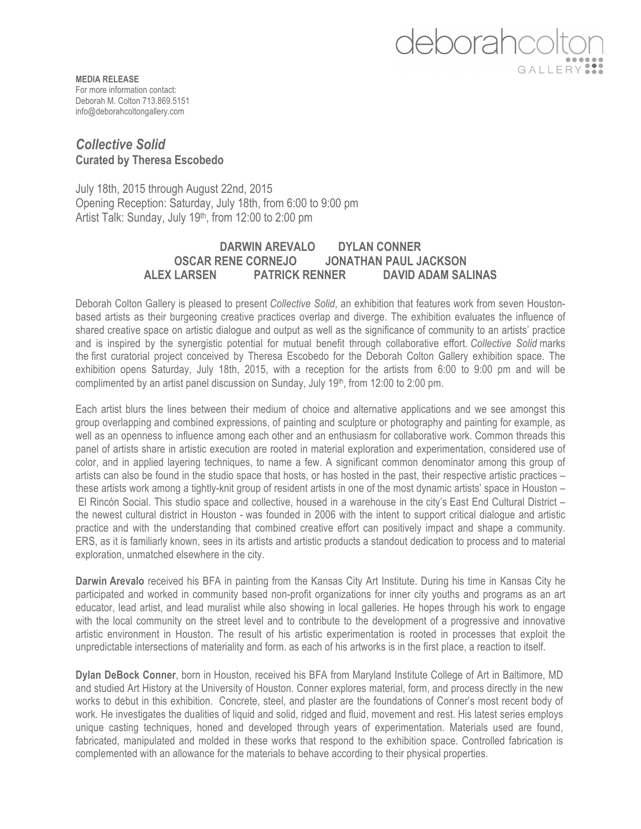## deborahcd

**MEDIA RELEASE** For more information contact: Deborah M. Colton 713.869.5151 info@deborahcoltongallery.com

## *Collective Solid* **Curated by Theresa Escobedo**

July 18th, 2015 through August 22nd, 2015 Opening Reception: Saturday, July 18th, from 6:00 to 9:00 pm Artist Talk: Sunday, July 19<sup>th</sup>, from 12:00 to 2:00 pm

## **DARWIN AREVALO DYLAN CONNER OSCAR RENE CORNEJO JONATHAN PAUL JACKSON ALEX LARSEN PATRICK RENNER DAVID ADAM SALINAS**

Deborah Colton Gallery is pleased to present *Collective Solid*, an exhibition that features work from seven Houstonbased artists as their burgeoning creative practices overlap and diverge. The exhibition evaluates the influence of shared creative space on artistic dialogue and output as well as the significance of community to an artists' practice and is inspired by the synergistic potential for mutual benefit through collaborative effort. *Collective Solid* marks the first curatorial project conceived by Theresa Escobedo for the Deborah Colton Gallery exhibition space. The exhibition opens Saturday, July 18th, 2015, with a reception for the artists from 6:00 to 9:00 pm and will be complimented by an artist panel discussion on Sunday, July 19<sup>th</sup>, from 12:00 to 2:00 pm.

Each artist blurs the lines between their medium of choice and alternative applications and we see amongst this group overlapping and combined expressions, of painting and sculpture or photography and painting for example, as well as an openness to influence among each other and an enthusiasm for collaborative work. Common threads this panel of artists share in artistic execution are rooted in material exploration and experimentation, considered use of color, and in applied layering techniques, to name a few. A significant common denominator among this group of artists can also be found in the studio space that hosts, or has hosted in the past, their respective artistic practices – these artists work among a tightly-knit group of resident artists in one of the most dynamic artists' space in Houston – El Rincón Social. This studio space and collective, housed in a warehouse in the city's East End Cultural District – the newest cultural district in Houston - was founded in 2006 with the intent to support critical dialogue and artistic practice and with the understanding that combined creative effort can positively impact and shape a community. ERS, as it is familiarly known, sees in its artists and artistic products a standout dedication to process and to material exploration, unmatched elsewhere in the city.

**Darwin Arevalo** received his BFA in painting from the Kansas City Art Institute. During his time in Kansas City he participated and worked in community based non-profit organizations for inner city youths and programs as an art educator, lead artist, and lead muralist while also showing in local galleries. He hopes through his work to engage with the local community on the street level and to contribute to the development of a progressive and innovative artistic environment in Houston. The result of his artistic experimentation is rooted in processes that exploit the unpredictable intersections of materiality and form. as each of his artworks is in the first place, a reaction to itself.

**Dylan DeBock Conner**, born in Houston, received his BFA from Maryland Institute College of Art in Baltimore, MD and studied Art History at the University of Houston. Conner explores material, form, and process directly in the new works to debut in this exhibition. Concrete, steel, and plaster are the foundations of Conner's most recent body of work*.* He investigates the dualities of liquid and solid, ridged and fluid, movement and rest. His latest series employs unique casting techniques, honed and developed through years of experimentation. Materials used are found, fabricated, manipulated and molded in these works that respond to the exhibition space. Controlled fabrication is complemented with an allowance for the materials to behave according to their physical properties.